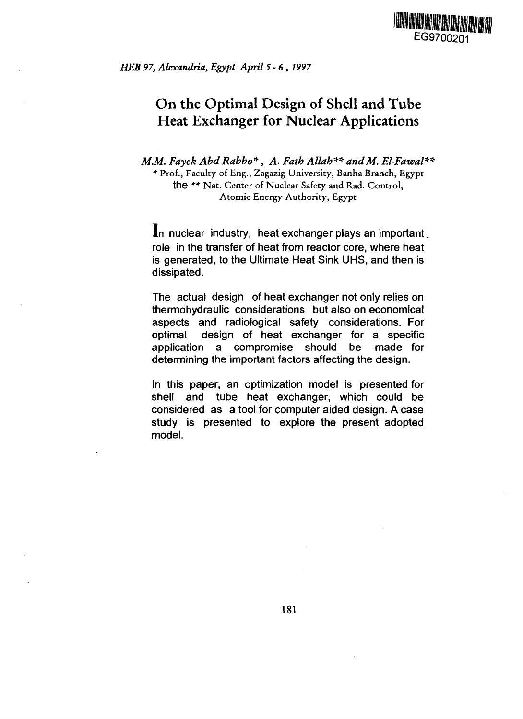

HEB 97, Alexandria, Egypt April 5 - 6, 1997

# On the Optimal Design of Shell and Tube Heat Exchanger for Nuclear Applications

*MM. Fayek Abd Rabbo\*, A. Fatb Allah'\*\* andM. El-Fawal\*\* \** Prof., Faculty of Eng., Zagazig University, Banha Branch, Egypt **the** \*\* Nat. Center of Nuclear Safety and Rad. Control, Atomic Energy Authority, Egypt

In nuclear industry, heat exchanger plays an important. role in the transfer of heat from reactor core, where heat is generated, to the Ultimate Heat Sink UHS, and then is dissipated.

The actual design of heat exchanger not only relies on thermohydraulic considerations but also on economical aspects and radiological safety considerations. For optimal design of heat exchanger for a specific application a compromise should be made for determining the important factors affecting the design.

In this paper, an optimization model is presented for shell and tube heat exchanger, which could be considered as a tool for computer aided design. A case study is presented to explore the present adopted model.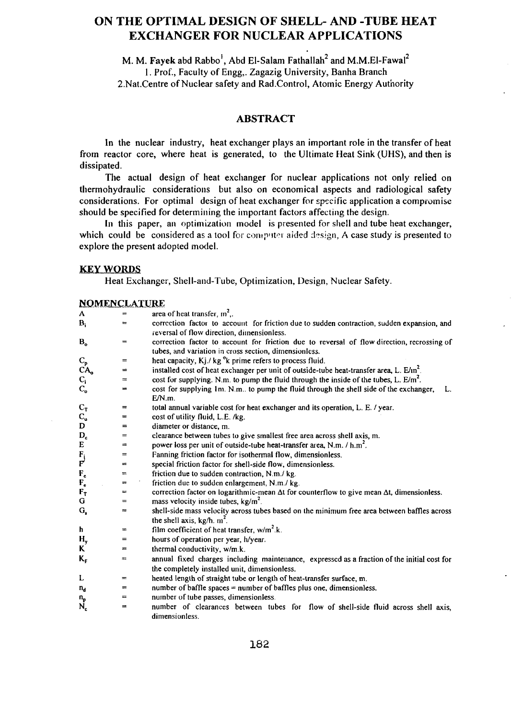# ON THE OPTIMAL DESIGN OF SHELL- AND -TUBE HEAT EXCHANGER FOR NUCLEAR APPLICATIONS

M. M. Fayek abd Rabbo $^{\rm l}$ , Abd El-Salam Fathallah $^{\rm 2}$  and M.M.El-Fawal $^{\rm 2}$ 1. Prof., Faculty of Engg,. Zagazig University, Banha Branch 2.Nat.Centre of Nuclear safety and Rad.Control, Atomic Energy Authority

# **ABSTRACT**

In the nuclear industry, heat exchanger plays an important role in the transfer of heat from reactor core, where heat is generated, to the Ultimate Heat Sink (UHS), and then is dissipated.

The actual design of heat exchanger for nuclear applications not only relied on thermohydraulic considerations but also on economical aspects and radiological safety considerations. For optimal design of heat exchanger for specific application a compromise should be specified for determining the important factors affecting the design.

In this paper, an optimization model is presented for shell and tube heat exchanger, which could be considered as a tool for computer aided design. A case study is presented to explore the present adopted model.

### **KEY WORDS**

Heat Exchanger, Shell-and-Tube, Optimization, Design, Nuclear Safety.

#### **NOMENCLATURE**

| A                                | $=$                                                                                        | area of heat transfer, $m^2$ .                                                                            |  |  |
|----------------------------------|--------------------------------------------------------------------------------------------|-----------------------------------------------------------------------------------------------------------|--|--|
| В,                               | correction factor to account for friction due to sudden contraction, sudden expansion, and |                                                                                                           |  |  |
|                                  |                                                                                            | reversal of flow direction, dimensionless.                                                                |  |  |
| $B_{o}$                          | $=$                                                                                        | correction factor to account for friction due to reversal of flow direction, recrossing of                |  |  |
|                                  |                                                                                            | tubes, and variation in cross section, dimensionless.                                                     |  |  |
|                                  | $=$                                                                                        | heat capacity, $Kj./kg$ <sup>o</sup> k prime refers to process fluid.                                     |  |  |
|                                  | $=$                                                                                        | installed cost of heat exchanger per unit of outside-tube heat-transfer area, L. $E/m2$ .                 |  |  |
| $C_p$<br>$C_A$<br>$C_i$<br>$C_o$ | $=$                                                                                        | cost for supplying. N.m. to pump the fluid through the inside of the tubes, L. $E/m2$ .                   |  |  |
|                                  | ⋍                                                                                          | cost for supplying 1m. N.m to pump the fluid through the shell side of the exchanger,                     |  |  |
|                                  |                                                                                            | E/N.m.                                                                                                    |  |  |
| $C_{T}$                          | =                                                                                          | total annual variable cost for heat exchanger and its operation, L. E. / year.                            |  |  |
| $C_{u}$                          | $=$                                                                                        | cost of utility fluid, L.E. /kg.                                                                          |  |  |
| D                                | $\equiv$                                                                                   | diameter or distance, m.                                                                                  |  |  |
| $D_c$                            | =                                                                                          | clearance between tubes to give smallest free area across shell axis, m.                                  |  |  |
| E                                | $=$                                                                                        | power loss per unit of outside-tube heat-transfer area, N.m. / h.m <sup>2</sup> .                         |  |  |
| $F_{\rm F}$                      | =                                                                                          | Fanning friction factor for isothermal flow, dimensionless.                                               |  |  |
|                                  | =                                                                                          | special friction factor for shell-side flow, dimensionless.                                               |  |  |
| $F_c$                            | ≕                                                                                          | friction due to sudden contraction, N.m./ kg.                                                             |  |  |
|                                  | $=$                                                                                        | friction due to sudden enlargement, N.m./kg.                                                              |  |  |
| $F_T$                            | =                                                                                          | correction factor on logarithmic-mean $\Delta t$ for counterflow to give mean $\Delta t$ , dimensionless. |  |  |
| G                                | =                                                                                          | mass velocity inside tubes, kg/m <sup>2</sup> .                                                           |  |  |
| G,<br>≕                          |                                                                                            | shell-side mass velocity across tubes based on the minimum free area between baffles across               |  |  |
|                                  |                                                                                            | the shell axis, $kg/h$ . $m2$ .                                                                           |  |  |
| h                                | ≕                                                                                          | film coefficient of heat transfer, $w/m^2$ .k.                                                            |  |  |
| $H_{y}$                          | =                                                                                          | hours of operation per year, h/year.                                                                      |  |  |
| K                                | $=$                                                                                        | thermal conductivity, w/m.k.                                                                              |  |  |
| $K_{\rm F}$<br>$=$               |                                                                                            | annual fixed charges including maintenance, expressed as a fraction of the initial cost for               |  |  |
|                                  |                                                                                            | the completely installed unit, dimensionless.                                                             |  |  |
| L                                | $=$                                                                                        | heated length of straight tube or length of heat-transfer surface, m.                                     |  |  |
| $n_{d}$                          | =                                                                                          | number of baffle spaces = number of baffles plus one, dimensionless.                                      |  |  |
| $n_p$                            | $=$                                                                                        | number of tube passes, dimensionless.                                                                     |  |  |
| N.                               | $=$                                                                                        | number of clearances between tubes for flow of shell-side fluid across shell axis,                        |  |  |
|                                  |                                                                                            | dimensionless.                                                                                            |  |  |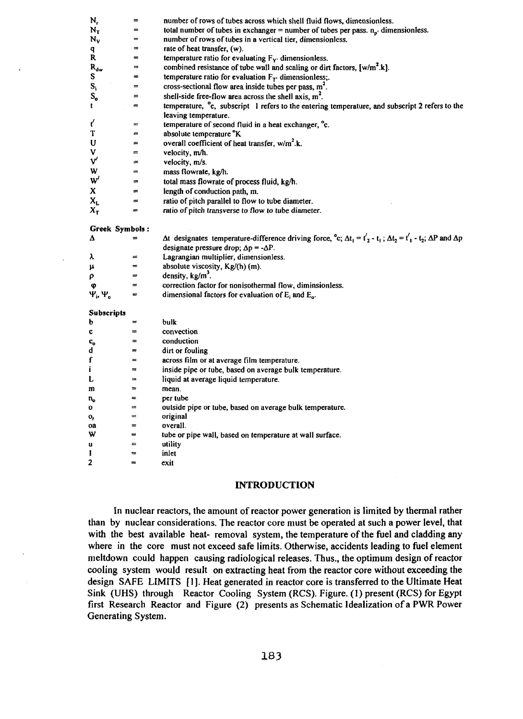| N,                                   | =                               | number of rows of tubes across which shell fluid flows, dimensionless.                                                                    |
|--------------------------------------|---------------------------------|-------------------------------------------------------------------------------------------------------------------------------------------|
| $N_T$                                | =                               | total number of tubes in exchanger = number of tubes per pass. $n_{p'}$ dimensionless.                                                    |
| N <sub>v</sub>                       | =                               |                                                                                                                                           |
|                                      | $=$                             | number of rows of tubes in a vertical tier, dimensionless.                                                                                |
| q<br>R                               | $=$                             | rate of heat transfer, (w).<br>temperature ratio for evaluating $F_{Y}$ dimensionless.                                                    |
| $R_{dw}$                             | $=$                             |                                                                                                                                           |
| s                                    |                                 | combined resistance of tube wall and scaling or dirt factors, $[w/m^2.k]$ .                                                               |
|                                      | $=$                             | temperature ratio for evaluation $F_T$ dimensionless;.                                                                                    |
| $S_i$                                | $=$                             | cross-sectional flow area inside tubes per pass, $m2$ .                                                                                   |
| $S_{o}$                              | $=$                             | shell-side free-flow area across the shell axis, $m2$ .                                                                                   |
| t                                    | $\equiv$                        | temperature, °c, subscript 1 refers to the entering temperature, and subscript 2 refers to the                                            |
|                                      |                                 | leaving temperature.                                                                                                                      |
| ť                                    | $=$                             | temperature of second fluid in a heat exchanger, °c.                                                                                      |
| T                                    | $=$                             | absolute temperature <sup>o</sup> K                                                                                                       |
| U                                    | $=$                             | overall coefficient of heat transfer, w/m <sup>2</sup> .k.                                                                                |
| V                                    | $=$                             | velocity, m/h.                                                                                                                            |
| V                                    | ÷                               | velocity, m/s.                                                                                                                            |
| W                                    | $=$                             | mass flowrate, kg/h.                                                                                                                      |
| W                                    | $\equiv$                        | total mass flowrate of process fluid, kg/h.                                                                                               |
| X                                    | $=$                             | length of conduction path, m.                                                                                                             |
| $X_{L}$                              | $\equiv$                        | ratio of pitch parallel to flow to tube diameter.                                                                                         |
| $\mathbf{x}_{\mathbf{r}}$            | $\equiv$                        | ratio of pitch transverse to flow to tube diameter.                                                                                       |
| Greek Symbols:                       |                                 |                                                                                                                                           |
| Δ                                    | $\equiv$                        | Δt designates temperature-difference driving force, °c; $\Delta t_1 = t'_2 - t_1$ ; $\Delta t_2 = t'_1 - t_2$ ; $\Delta P$ and $\Delta p$ |
|                                      |                                 | designate pressure drop; $\Delta p = -\Delta P$ .                                                                                         |
| λ                                    | $\equiv$                        | Lagrangian multiplier, dimensionless.                                                                                                     |
| μ                                    | $\equiv$                        | absolute viscosity, Kg/(h) (m).                                                                                                           |
| ρ                                    | $\equiv$                        | density, kg/m <sup>3</sup> .                                                                                                              |
| φ                                    | $\equiv$                        | correction factor for nonisothermal flow, diminsionless.                                                                                  |
| $\Psi$ , $\Psi_{o}$                  | =                               | dimensional factors for evaluation of $E_i$ and $E_o$ .                                                                                   |
|                                      |                                 |                                                                                                                                           |
| Subscripts<br>b                      | $\displaystyle \qquad \qquad =$ | bulk                                                                                                                                      |
|                                      | $=$                             | convection                                                                                                                                |
| c                                    | $=$                             | conduction                                                                                                                                |
| $\mathbf{c}_{\mathbf{o}}$<br>d       | $=$                             | dirt or fouling                                                                                                                           |
| f                                    | $\equiv$                        |                                                                                                                                           |
| i                                    | $\equiv$                        | across film or at average film temperature.                                                                                               |
| L                                    | $\equiv$                        | inside pipe or tube, based on average bulk temperature.                                                                                   |
|                                      | $\equiv$                        | liquid at average liquid temperature.<br>mean.                                                                                            |
| m                                    | $\equiv$                        | per tube                                                                                                                                  |
| $\mathbf{n}_{\rm o}$<br>$\mathbf{o}$ | $\equiv$                        | outside pipe or tube, based on average bulk temperature.                                                                                  |
|                                      | $=$                             | original                                                                                                                                  |
| о,<br>oa                             | $=$                             | overall.                                                                                                                                  |
| W                                    | $\equiv$                        | tube or pipe wall, based on temperature at wall surface.                                                                                  |
| u                                    | $=$                             | utility                                                                                                                                   |
| 1                                    | $\equiv$                        | inlet                                                                                                                                     |
| 2                                    | $=$                             | exit                                                                                                                                      |
|                                      |                                 |                                                                                                                                           |

# INTRODUCTION

In nuclear reactors, the amount of reactor power generation is limited by thermal rather than by nuclear considerations. The reactor core must be operated at such a power level, that with the best available heat- removal system, the temperature of the fuel and cladding any where in the core must not exceed safe limits. Otherwise, accidents leading to fuel element meltdown could happen causing radiological releases. Thus., the optimum design of reactor cooling system would result on extracting heat from the reactor core without exceeding the design SAFE LIMITS [1]. Heat generated in reactor core is transferred to the Ultimate Heat Sink (UHS) through Reactor Cooling System (RCS). Figure. (1) present (RCS) for Egypt first Research Reactor and Figure (2) presents as Schematic Idealization of a PWR Power Generating System.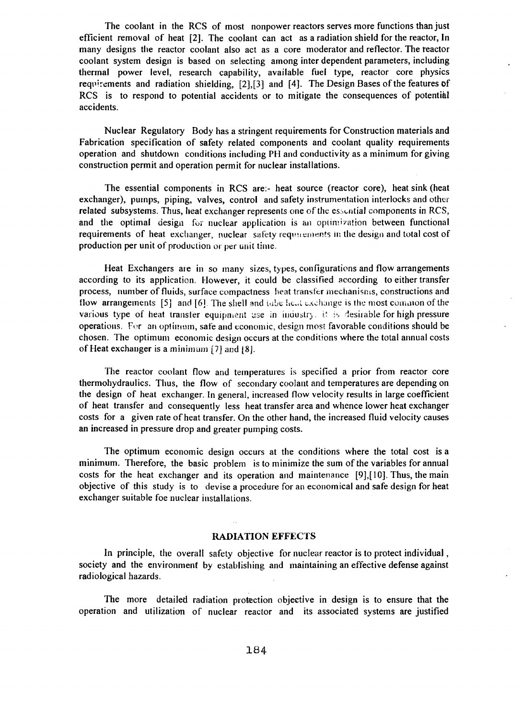The coolant in the RCS of most nonpower reactors serves more functions than just efficient removal of heat [2]. The coolant can act as a radiation shield for the reactor, In many designs the reactor coolant also act as a core moderator and reflector. The reactor coolant system design is based on selecting among inter dependent parameters, including thermal power level, research capability, available fuel type, reactor core physics requirements and radiation shielding, [2],[3] and [4]. The Design Bases of the features of RCS is to respond to potential accidents or to mitigate the consequences of potential accidents.

Nuclear Regulatory Body has a stringent requirements for Construction materials and Fabrication specification of safety related components and coolant quality requirements operation and shutdown conditions including PH and conductivity as a minimum for giving construction permit and operation permit for nuclear installations.

The essential components in RCS are:- heat source (reactor core), heat sink (heat exchanger), pumps, piping, valves, control and safety instrumentation interlocks and other related subsystems. Thus, heat exchanger represents one of the essential components in RCS, and the optimal design for nuclear application is an optimization between functional requirements of heat exchanger, nuclear safety requirements in the design and total cost of production per unit of production or per unit time.

Heat Exchangers are in so many sizes, types, configurations and flow arrangements according to its application. However, it could be classified according to either transfer process, number of fluids, surface compactness heat transfer mechanisms, constructions and flow arrangements  $[5]$  and  $[6]$ . The shell and tabe lield exchange is the most common of the various type of heat transfer equipment use in industry. It is desirable for high pressure operations. Fur an optimum, safe and economic, design most favorable conditions should be chosen. The optimum economic design occurs at the conditions where the total annual costs of Heat exchanger is a minimum [7] and *[&].*

The reactor coolant flow and temperatures is specified a prior from reactor core thermohydraulics. Thus, the flow of secondary coolant and temperatures are depending on the design of heat exchanger. In general, increased flow velocity results in large coefficient of heat transfer and consequently less heat transfer area and whence lower heat exchanger costs for a given rate of heat transfer. On the other hand, the increased fluid velocity causes an increased in pressure drop and greater pumping costs.

The optimum economic design occurs at the conditions where the total cost is a minimum. Therefore, the basic problem is to minimize the sum of the variables for annual costs for the heat exchanger and its operation and maintenance [9],[10]. Thus, the main objective of this study is to devise a procedure for an economical and safe design for heat exchanger suitable foe nuclear installations.

# RADIATION EFFECTS

in 19

In principle, the overall safety objective for nuclear reactor is to protect individual, society and the environment by establishing and maintaining an effective defense against radiological hazards.

The more detailed radiation protection objective in design is to ensure that the operation and utilization of nuclear reactor and its associated systems are justified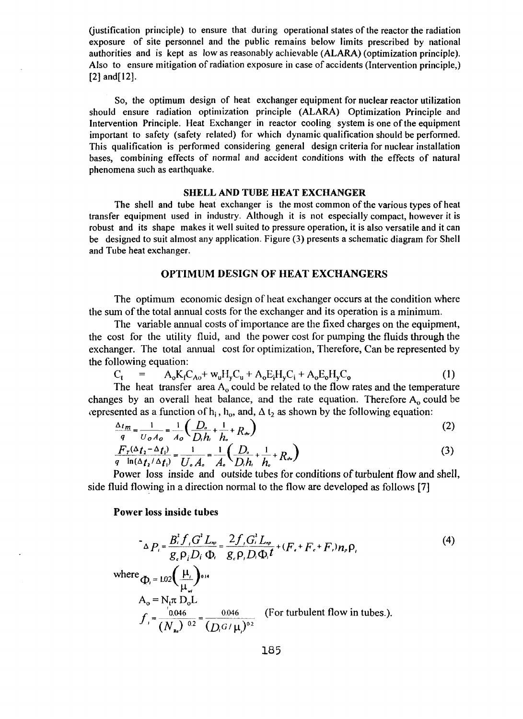(justification principle) to ensure that during operational states of the reactor the radiation exposure of site personnel and the public remains below limits prescribed by national authorities and is kept as low as reasonably achievable (ALARA) (optimization principle). Also to ensure mitigation of radiation exposure in case of accidents (Intervention principle,) [2] and [12].

So, the optimum design of heat exchanger equipment for nuclear reactor utilization should ensure radiation optimization principle (ALARA) Optimization Principle and Intervention Principle. Heat Exchanger in reactor cooling system is one of the equipment important to safety (safety related) for which dynamic qualification should be performed. This qualification is performed considering general design criteria for nuclear installation bases, combining effects of normal and accident conditions with the effects of natural phenomena such as earthquake.

#### SHELL AND TUBE HEAT EXCHANGER

The shell and tube heat exchanger is the most common of the various types of heat transfer equipment used in industry. Although it is not especially compact, however it is robust and its shape makes it well suited to pressure operation, it is also versatile and it can be designed to suit almost any application. Figure (3) presents a schematic diagram for Shell and Tube heat exchanger.

# **OPTIMUM DESIGN OF HEAT EXCHANGERS**

The optimum economic design of heat exchanger occurs at the condition where the sum of the total annual costs for the exchanger and its operation is a minimum.

The variable annual costs of importance are the fixed charges on the equipment, the cost for the utility fluid, and the power cost for pumping the fluids through the exchanger. The total annual cost for optimization, Therefore, Can be represented by the following equation:

$$
C_{t} = A_{o}K_{f}C_{Ao} + w_{u}H_{y}C_{u} + A_{o}E_{i}H_{y}C_{i} + A_{o}E_{o}H_{y}C_{o}
$$
 (1)

The heat transfer area  $A_0$  could be related to the flow rates and the temperature changes by an overall heat balance, and the rate equation. Therefore  $A_0$  could be the tepresented as a function of h<sub>i</sub>, h<sub>o</sub>, and,  $\Delta t_2$  as shown by the following equation:

$$
\frac{\Delta t_m}{q} = \frac{1}{U_o A_o} = \frac{1}{A_o} \left( \frac{D_o}{D_h h_i} + \frac{1}{h_o} + R_{dv} \right)
$$
 (2)

$$
\frac{F_r(\Delta t_1 - \Delta t_1)}{q \ln(\Delta t_1 / \Delta t_1)} = \frac{1}{U_o A_o} = \frac{1}{A_o} \left( \frac{D_o}{D_i h_i} + \frac{1}{h_o} + R_{av} \right)
$$
(3)

Power loss inside and outside tubes for conditions of turbulent flow and shell, side fluid flowing in a direction normal to the flow are developed as follows [7]

# **Power loss inside tubes**

$$
\Delta P_i = \frac{B_i^2 f_i G^2 L_w}{g_c \rho_i D_i \Phi_i} = \frac{2 f_i G_i^2 L_w}{g_c \rho_i D_i \Phi_i t} + (F_c + F_c + F_i) n_e \rho_i
$$
\nwhere  
\n
$$
\Phi_i = 1.02 \left(\frac{\mu_i}{\mu_w}\right)^{0.14}
$$
\n
$$
A_0 = N_i \pi D_0 L
$$
\n
$$
f_i = \frac{0.046}{(N_{\text{Re}})^{-0.2}} = \frac{0.046}{(D_i G / \mu_i)^{0.2}}
$$
 (For turbulent flow in tubes.).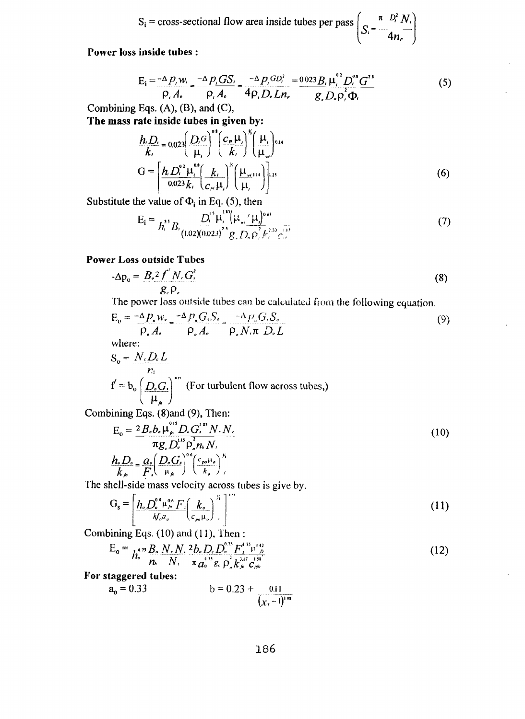$$
S_i = \text{cross-sectional flow area inside tubes per pass} \left( S_i = \frac{\pi D_i^2 N_i}{4n_p} \right)
$$

# **Power loss inside tubes** :

$$
E_{i} = \frac{-\Delta p_{i} w_{i}}{\rho_{i} A_{o}} = \frac{-\Delta p_{i} GS_{i}}{\rho_{i} A_{o}} = \frac{-\Delta p_{i} GD_{i}^{2}}{4\rho_{i} D_{o} Ln_{p}} = \frac{0.023 B_{i} \mu_{i}^{0.2} D_{i}^{0.8} G^{2.8}}{g_{c} D_{o} \rho_{i} \Phi_{i}}
$$
(5)

Combining Eqs. (A), (B), and (C),

**The mass rate inside tubes in given by:**

$$
\frac{h_i D_i}{k_i} = 0.023 \left( \frac{D_i G}{\mu_i} \right)^{0.1} \left( \frac{C_{\mu} \mu_i}{k_i} \right)^{k} \left( \frac{\mu_i}{\mu_{\omega}} \right)^{0.14}
$$
\n
$$
G = \left[ \frac{h_i D_i^{0.2} \mu_i^{0.1}}{0.023 k_i} \left( \frac{k_i}{C_{\mu} \mu_i} \right)^{k} \left( \frac{\mu_{\omega,114}}{\mu_i} \right) \right]^{1.25} \tag{6}
$$

Substitute the value of  $\Phi_i$  in Eq. (5), then

$$
E_{i} = \frac{D_{i}^{3} \mu_{i}^{10} (\mu_{w}^{1/2} \mu_{i}^{10/2})^{0.63}}{(1.02)(0.023)^{23} g_{i} D_{v} D_{v}^{2} k_{i}^{2.33} c_{w}^{11/2}}
$$
(7)

# **Power** Loss outside Tubes

$$
-\Delta p_o = \frac{B_s^2 f' N_c G_s^2}{g_c \rho_s} \tag{8}
$$

The power loss outside tubes can be calculated from the following equation.

$$
E_0 = -\Delta p_e w_e = -\Delta p_e G_e S_e = -\Delta p_e G_e S_e
$$
  
\n
$$
\rho_e A_e = \rho_e A_e = \rho_e N_e \pi D_e L
$$
 (9)

where:  
\n
$$
S_0 = N_c D_c L
$$
\n
$$
f' = b_0 \left( \frac{D_c G_i}{\mu_\rho} \right)^{10} \text{ (For turbulent flow across tubes,)}
$$
\n
$$
B = 0.82 \text{ (a) and (9). Then:}
$$

Combining Eqs. (8)and (9), Then:

$$
E_0 = \frac{2 B_o b_o \mu_{j_o}^{0.15} D_e G_i^{2.15} N_r N_r}{\pi g_c D_o^{1.15} \rho_o^2 n_b N_r}
$$
  

$$
\frac{h_o D_o}{k_o} = \frac{a_o}{F} \left( \frac{D_o G_i}{\mu_o} \right)^{0.6} \left( \frac{c_{po} \mu_o}{k_o} \right)^{1/2}.
$$
 (10)

The shell-side mass velocity across tubes is give by.

$$
G_{s} = \left[\frac{h_{o}D_{o}^{0.4} \mu_{o}^{0.6} F_{\cdot}}{k f_{o} a_{o}} \left(\frac{k_{o}}{c_{\rho o} \mu_{o}}\right)^{\frac{1}{2}}\right]^{1/2}
$$
(11)

Combining Eqs. (10) and (11), Then :

$$
E_0 = \frac{1}{h_o^{4.75}} \frac{B_o N_c N_c^2 b_o D_c D_o^{0.75} F_s^{4.75} \mu_{\rho}^{142}}{B_o N_c^4} \tag{12}
$$

**For** staggered tubes:

$$
a_0 = 0.33 \qquad b = 0.23 + \frac{0.11}{(x_7 - 1)^{1.08}}
$$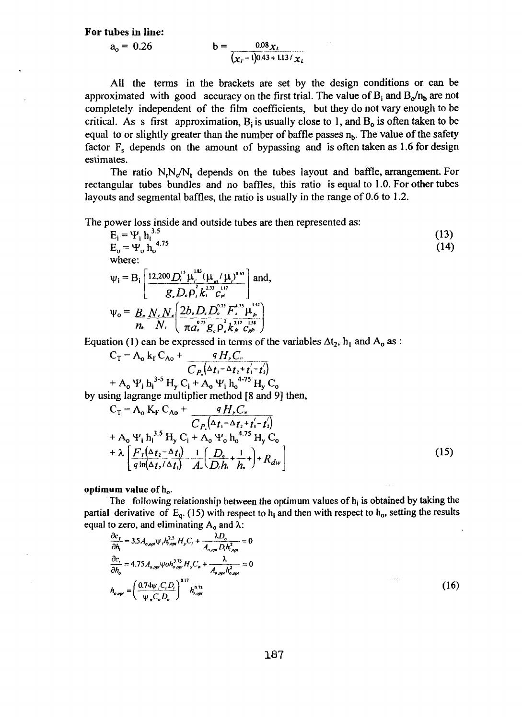**For tubes in line:**

$$
a_0 = 0.26 \qquad b = \frac{0.08 \chi_L}{\left(\chi_L - 1\right)0.43 + 1.13 / \chi_L}
$$

All the terms in the brackets are set by the design conditions or can be approximated with good accuracy on the first trial. The value of  $B_i$  and  $B_o/n_b$  are not completely independent of the film coefficients, but they do not vary enough to be critical. As s first approximation,  $B_i$  is usually close to 1, and  $B_0$  is often taken to be equal to or slightly greater than the number of baffle passes  $n_b$ . The value of the safety factor  $F_s$  depends on the amount of bypassing and is often taken as 1.6 for design estimates.

The ratio N<sub>N</sub>/N, depends on the tubes layout and baffle, arrangement. For rectangular tubes bundles and no baffles, this ratio is equal to 1.0. For other tubes layouts and segmental baffles, the ratio is usually in the range of 0.6 to 1.2.

The power loss inside and outside tubes are then represented as:

$$
E_{i} = \Psi_{i} h_{i}^{3.5}
$$
\n
$$
E_{o} = \Psi_{o} h_{o}^{4.75}
$$
\nwhere:  
\n
$$
\psi_{i} = B_{i} \left[ \frac{12,200 D_{i}^{15} \mu_{r}^{143} (\mu_{r} / \mu_{r})^{0.63}}{g_{c} D_{e} \rho_{r}^{2} k_{r}^{233} C_{r}} \right]
$$
\nand,  
\n
$$
\psi_{o} = \frac{B_{o} N_{r} N_{c}}{n_{b} N_{r}} \left( \frac{2b_{o} D_{c} D_{o}^{9.75} F_{r}^{4.75} \mu_{r}^{14}}{\pi a_{o}^{9.75} g_{c} \rho_{o}^{2} k_{p}^{117} C_{r}^{158}} \right)
$$
\n
$$
\text{ation (1) can be expressed in terms of the variables } \Delta t_{2}, h_{1} \text{ and } A_{o} \text{ as :}
$$
\n
$$
\frac{1}{2} \left( \frac{1}{2} \frac{1}{2} \frac{1}{2} \frac{1}{2} \frac{1}{2} \frac{1}{2} \frac{1}{2} \frac{1}{2} \frac{1}{2} \frac{1}{2} \frac{1}{2} \frac{1}{2} \frac{1}{2} \frac{1}{2} \frac{1}{2} \frac{1}{2} \frac{1}{2} \frac{1}{2} \frac{1}{2} \frac{1}{2} \frac{1}{2} \frac{1}{2} \frac{1}{2} \frac{1}{2} \frac{1}{2} \frac{1}{2} \frac{1}{2} \frac{1}{2} \frac{1}{2} \frac{1}{2} \frac{1}{2} \frac{1}{2} \frac{1}{2} \frac{1}{2} \frac{1}{2} \frac{1}{2} \frac{1}{2} \frac{1}{2} \frac{1}{2} \frac{1}{2} \frac{1}{2} \frac{1}{2} \frac{1}{2} \frac{1}{2} \frac{1}{2} \frac{1}{2} \frac{1}{2} \frac{1}{2} \frac{1}{2} \frac{1}{2} \frac{1}{2} \frac{1}{2} \frac{1}{2} \frac{1}{2} \frac{1}{2} \frac{1}{2} \frac{1}{2} \frac{1}{2} \frac{
$$

Equation (1) can be expressed in terms of the variables  $\Delta t_2$ ,  $h_1$  and  $A_0$  as

$$
C_{T} = A_{o} k_{f} C_{Ao} + \frac{qH_{y}C_{u}}{C_{P_{v}}(\Delta t_{i} - \Delta t_{i} + t_{i}^{'} - t_{i}^{'} )}
$$
  
+  $A_{o} \Psi_{i} h_{i}^{3.5} H_{y} C_{i} + A_{o} \Psi_{i} h_{o}^{4.75} H_{y} C_{o}$   
by using lagrange multiplier method [8 and 9] then,  
 $C_{v} = A_{v} V_{v} C_{v} + \frac{qH}{C_{v}} C_{v}^{2}$ 

$$
C_{T} = A_{o} K_{F} C_{Ao} + \frac{q H_{v} C_{u}}{C_{P_{v}} (\Delta_{t_{1}} - \Delta_{t_{2}} + t_{1}^{'} - t_{2}^{'} )} + A_{o} V_{1} h_{1}^{3.5} H_{y} C_{i} + A_{o} V_{o} h_{o}^{4.75} H_{y} C_{o} + \lambda \left[ \frac{F_{r} (\Delta_{t_{2}} - \Delta_{t_{1}})}{q \ln(\Delta_{t_{2}} / \Delta_{t_{1}})} - \frac{1}{A_{e}} \left( \frac{D_{e}}{D_{i} h_{i}} + \frac{1}{h_{o}} + \right) + R_{dw} \right]
$$
(15)

#### **optimum** value of  $h_0$ .

The following relationship between the optimum values of  $h_i$  is obtained by taking the partial derivative of  $E_q$ . (15) with respect to  $h_i$  and then with respect to  $h_0$ , setting the results equal to zero, and eliminating  $A_0$  and  $\lambda$ :

$$
\frac{\partial c_{r}}{\partial h_{i}} = 3.5 A_{o, \rho \rho \tau} \psi_{i} h_{i, \rho \rho i}^{2.5} H_{\nu} C_{i} + \frac{\lambda D_{o}}{A_{o, \rho \rho i} D_{i} h_{i, \rho \rho i}^{2}} = 0
$$
\n
$$
\frac{\partial c_{i}}{\partial h_{o}} = 4.75 A_{o, \rho \rho} \psi o h_{o, \rho \rho i}^{3.75} H_{\nu} C_{o} + \frac{\lambda}{A_{o, \rho \rho i} h_{o, \rho \rho i}^{2}} = 0
$$
\n
$$
h_{o, \rho \rho r} = \left(\frac{0.74 \psi_{i} C_{i} D_{i}}{\psi_{o} C_{o} D_{o}}\right)^{0.17} h_{i, \rho \rho i}^{0.78}
$$
\n(16)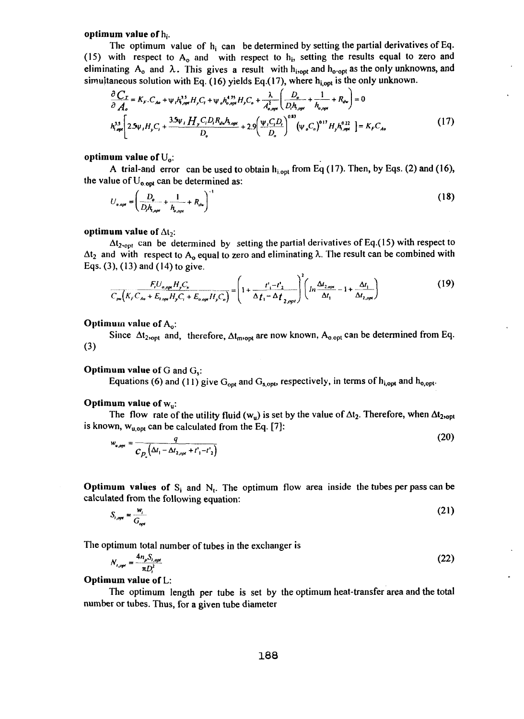#### optimum value of  $\bm{{\mathsf{h}}}_\textsf{i}.$

The optimum value of  $h_i$  can be determined by setting the partial derivatives of Eq. (15) with respect to  $A_0$  and with respect to  $h_i$ , setting the results equal to zero and eliminating  $A_0$  and  $\lambda$ . This gives a result with  $h_{i>opt}$  and  $h_{o\text{-opt}}$  as the only unknowns, and simultaneous solution with Eq. (16) yields Eq.(17), where h<sub>i,opt</sub> is the only unknown.

$$
\frac{\partial C_{I}}{\partial A_{o}} = K_{F} \cdot C_{Ao} + \psi_{i} h_{o,op}^{3.5} H_{y} C_{i} + \psi_{o} h_{o,op}^{4.75} H_{y} C_{o} + \frac{\lambda}{A_{o,op}^{2}} \left( \frac{D_{o}}{D_{i} h_{i,op}} + \frac{1}{h_{o,op}} + R_{dw} \right) = 0
$$
\n
$$
h_{i,op}^{3.5} \left[ 2.5 \psi_{i} H_{y} C_{i} + \frac{3.5 \psi_{i} H_{y} C_{i} D_{i} R_{dw} h_{i,op}}{D_{o}} + 2.9 \left( \frac{\psi_{i} C_{i} D_{i}}{D_{o}} \right)^{0.83} \left( \psi_{o} C_{o} \right)^{0.17} H_{y} h_{i,op}^{0.22} \right] = K_{F} C_{Ao}
$$
\n(17)

#### **optimum value of** Uo:

A trial-and error can be used to obtain  $h_{i, opt}$  from Eq (17). Then, by Eqs. (2) and (16), the value of  $U_{o,\text{opt}}$  can be determined as:

$$
U_{o,op} = \left(\frac{D_{o}}{D_{r}A_{o,op}} + \frac{1}{h_{o,op}} + R_{o} \right)^{-1}
$$
 (18)

#### **optimum value of**  $\Delta t_2$ **:**

 $\Delta t_{2,opt}$  can be determined by setting the partial derivatives of Eq.(15) with respect to  $\Delta t_2$  and with respect to A<sub>o</sub> equal to zero and eliminating  $\lambda$ . The result can be combined with Eqs. (3), (13) and (14) to give.

$$
\frac{F_{t}U_{o,op}H_{y}C_{u}}{C_{\rho u}(K_{r}C_{A0} + E_{t,op}H_{y}C_{i} + E_{o,op}H_{y}C_{o})} = \left(1 + \frac{t'_{1} - t'_{2}}{\Delta t_{1} - \Delta t_{2,op}}\right)^{2} \left(ln \frac{\Delta t_{2,op}}{\Delta t_{1}} - 1 + \frac{\Delta t_{1}}{\Delta t_{2,op}}\right)
$$
(19)

#### Optimum value of  $A_{0}$ :

Since  $\Delta t_{2, opt}$  and, therefore,  $\Delta t_{m, opt}$  are now known,  $A_{o,opt}$  can be determined from Eq. (3)

# $\mathbf{Optimum}$  value of  $\mathrm{G}% _{n}\left( \mathbf{1}\right)$  and  $\mathrm{G}_{\mathrm{s}}$ :

Equations (6) and (11) give  $G_{opt}$  and  $G_{s,opt}$ , respectively, in terms of  $h_{i,opt}$  and  $h_{o,opt}$ .

# **Optimum value of** wu:

The flow rate of the utility fluid (w<sub>u</sub>) is set by the value of  $\Delta t_2$ . Therefore, when  $\Delta t_{2,\text{opt}}$ is known,  $w_{u, opt}$  can be calculated from the Eq. [7]:

$$
w_{u,opt} = \frac{q}{C_{p_u}(\Delta t_1 - \Delta t_{2,opt} + t_1' - t_2')}
$$
 (20)

**Optimum values of**  $S_i$  and  $N_t$ . The optimum flow area inside the tubes per pass can be calculated from the following equation:

$$
S_{i,opt} = \frac{w_i}{G_{opt}} \tag{21}
$$

The optimum total number of tubes in the exchanger is

$$
N_{i,opt} = \frac{4n_p S_{i,opt}}{\pi D^2} \tag{22}
$$

# **Optimum value of** L:

The optimum length per tube is set by the optimum heat-transfer area and the total number or tubes. Thus, for a given tube diameter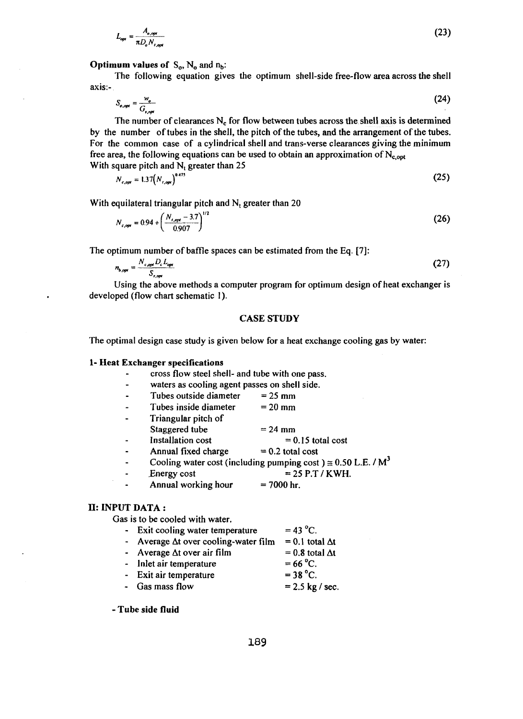$$
L_{op} = \frac{A_{o,op}}{\pi D_o N_{o,op}}
$$
 (23)

**Optimum values of**  $S_0$ ,  $N_0$  and  $n_b$ :

The following equation gives the optimum shell-side free-flow area across the shell axis:-

$$
S_{o,op} = \frac{w_o}{G_{i,op}} \tag{24}
$$

The number of clearances  $N_c$  for flow between tubes across the shell axis is determined by the number of tubes in the shell, the pitch of the tubes, and the arrangement of the tubes. For the common case of a cylindrical shell and trans-verse clearances giving the minimum free area, the following equations can be used to obtain an approximation of  $N_{\text{c} \text{ ont}}$ With square pitch and  $\rm N_t$  greater than 25

$$
N_{c,opt} = 1.37 \left( N_{t,opt} \right)^{0.475} \tag{25}
$$

With equilateral triangular pitch and  $\mathsf{N}_\mathsf{t}$  greater than 20

$$
N_{c,opt} = 0.94 + \left(\frac{N_{c,opt} - 3.7}{0.907}\right)^{1/2}
$$
 (26)

The optimum number of baffle spaces can be estimated from the Eq. [7]:

$$
n_{b,opt} = \frac{N_{c,opt} D_c L_{opt}}{S_{c,opt}}
$$
 (27)

Using the above methods a computer program for optimum design of heat exchanger is developed (flow chart schematic 1).

#### CASE STUDY

The optimal design case study is given below for a heat exchange cooling gas by water:

#### **1- Heat Exchanger specifications**

- cross flow steel shell- and tube with one pass.
- waters as cooling agent passes on shell side.<br>Tubes outside diameter  $= 25$  mm
- Tubes outside diameter  $= 25$  mm<br>Tubes inside diameter  $= 20$  mm
- Tubes inside diameter  $\overline{a}$
- Triangular pitch of Staggered tube  $= 24$  mm<br>Installation cost  $= 6$
- $= 0.15$  total cost
- Annual fixed charge  $= 0.2$  total cost
- Cooling water cost (including pumping cost)  $\approx 0.50$  L.E. / M<sup>3</sup><br>Energy cost  $= 25$  P.T / KWH.  $\overline{a}$
- $=25$  P.T/KWH.  $\ddot{\phantom{a}}$
- Annual working hour  $= 7000$  hr.

# **II: INPUT DATA**:

 $\overline{a}$ 

Gas is to be cooled with water.

- Exit cooling water temperature  $= 43 \degree$ C. - Average  $\Delta t$  over cooling-water film = 0.1 total  $\Delta t$ - Average  $\Delta t$  over air film = 0.8 total  $\Delta t$ <br>- Inlet air temperature = 66 °C. - Inlet air temperature  $= 66 °C$ .<br>- Exit air temperature  $= 38 °C$ . - Exit air temperature
- Gas mass flow  $= 2.5 \text{ kg} / \text{sec}$ .

- **Tube side fluid**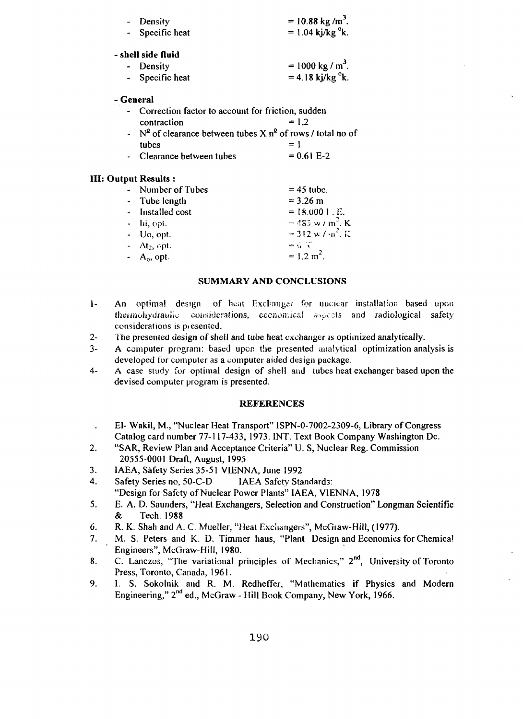|                             | Density                                                                   | $= 10.88$ kg/m <sup>3</sup> . |  |
|-----------------------------|---------------------------------------------------------------------------|-------------------------------|--|
|                             | Specific heat                                                             | $= 1.04$ kj/kg $\mathrm{R}$ . |  |
|                             | - shell side fluid                                                        |                               |  |
|                             | - Density                                                                 | $= 1000 \text{ kg/m}^3$ .     |  |
|                             | Specific heat                                                             | $= 4.18$ kj/kg $\mathrm{R}$ . |  |
| - General                   |                                                                           |                               |  |
|                             | Correction factor to account for friction, sudden                         |                               |  |
|                             | contraction                                                               | $= 1.2$                       |  |
|                             | - $N^2$ of clearance between tubes X n <sup>2</sup> of rows / total no of |                               |  |
|                             | tubes                                                                     | $= 1$                         |  |
|                             | - Clearance between tubes                                                 | $= 0.61 E-2$                  |  |
| <b>III: Output Results:</b> |                                                                           |                               |  |
|                             | - Number of Tubes                                                         | $= 45$ tube.                  |  |
|                             | Tube length                                                               | $= 3.26$ m                    |  |
|                             | Installed cost                                                            | $= 18.000 L.E.$               |  |
|                             |                                                                           |                               |  |

| $\blacksquare$ Installed cost | $-10.000 L.E.$                 |
|-------------------------------|--------------------------------|
| $-$ hi, opt.                  | $= 433$ w / m <sup>2</sup> . K |
| $-$ Uo, opt.                  | $= 312 \text{ w/m}^2$ . K      |
| $-\Delta t_2$ , opt.          | $=6\%$                         |
| $- A_0$ , opt.                | $= 1.2 \text{ m}^2$ .          |
|                               |                                |

#### **SUMMARY AND CONCLUSIONS**

- 1- An optima! design of heat Exchanger for nuclear installation based upon Ihefiiiuhydrautic considerations, economical *&:-.-r-i* ols and radiological safety considerations is piesented.
- 2- The presented design of shell and tube heat exchanger is optimized analytically.
- 3- A computer program: based upon the presented analytical optimization analysis is developed for computer as a computer aided design package.
- 4- A case study for optimal design of shell and tubes heat exchanger based upon the devised computer program is presented.

#### **REFERENCES**

- El- Wakil, M., "Nuclear Heat Transport" 1SPN-0-7002-2309-6, Library of Congress Catalog card number 77-117-433, 1973. INT. Text Book Company Washington Dc.
- 2. "SAR, Review Plan and Acceptance Criteria" U. S, Nuclear Reg. Commission 20555-0001 Draft, August, 1995
- 3. IAEA, Safety Series 35-51 VIENNA, June 1992
- 4. Safety Series no, 50-C-D IAEA Safety Standards:
- "Design for Safety of Nuclear Power Plants" IAEA, VIENNA, 1978
- 5. E. A. D. Saunders, "Heat Exchangers, Selection and Construction" Longman Scientific & Tech. 1988
- 6. R. K. Shah and A. C. Mueller, "Heat Exchangers", McGraw-Hill, (1977).
- 7. M. S. Peters and K. D. Timmer haus, "Plant Design and Economics for Chemical Engineers", McGraw-Hill, 1980.
- 8. C. Lanczos, "The variational principles of Mechanics,"  $2<sup>nd</sup>$ , University of Toronto Press, Toronto, Canada, 1961.
- 9. I. S. Sokolnik and R. M. Redheffer, "Mathematics if Physics and Modern Engineering," 2<sup>nd</sup> ed., McGraw - Hill Book Company, New York, 1966.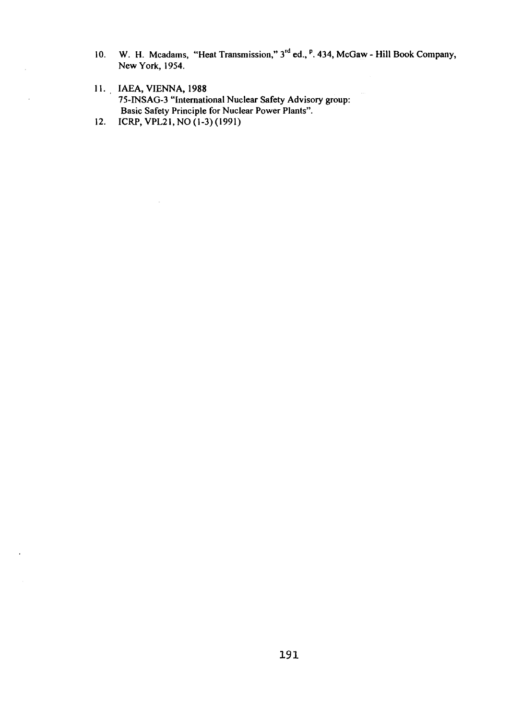- 10. W. H. Mcadams, "Heat Transmission," 3<sup>rd</sup> ed., <sup>p</sup>. 434, McGaw Hill Book Company, New York, 1954.
- 11. IAEA, VIENNA, 1988 75-INSAG-3 "International Nuclear Safety Advisory group: Basic Safety Principle for Nuclear Power Plants".
- 12. ICRP,VPL21,NO(1-3)(1991)

 $\bar{\gamma}$ 

J.

 $\ddot{\phantom{0}}$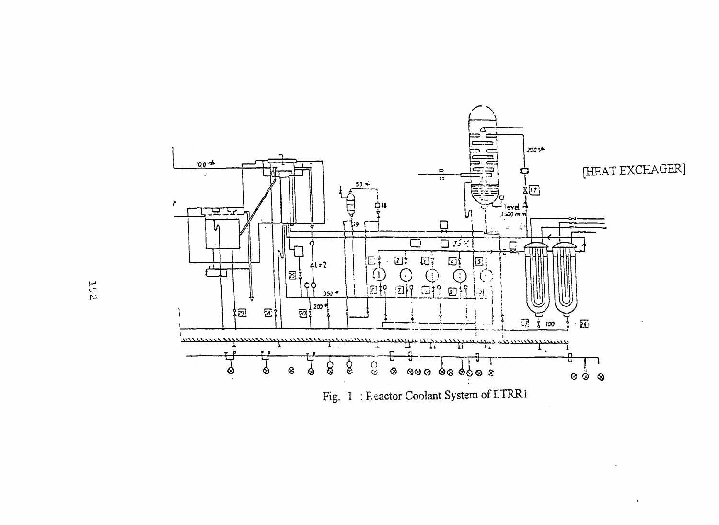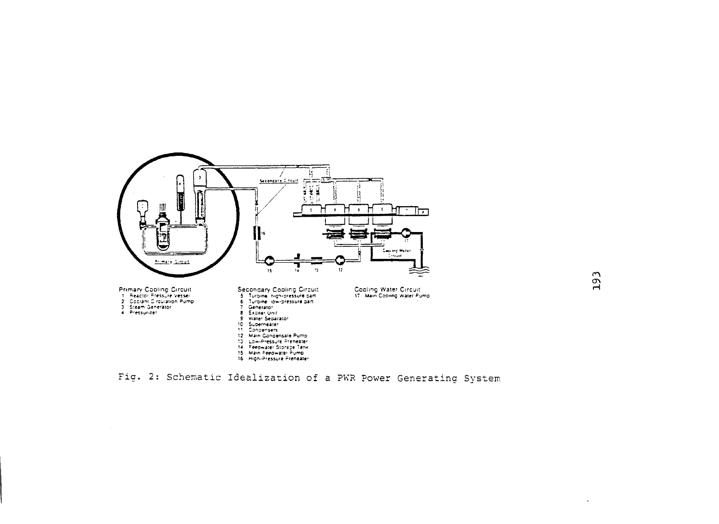



 $\sim$   $\sim$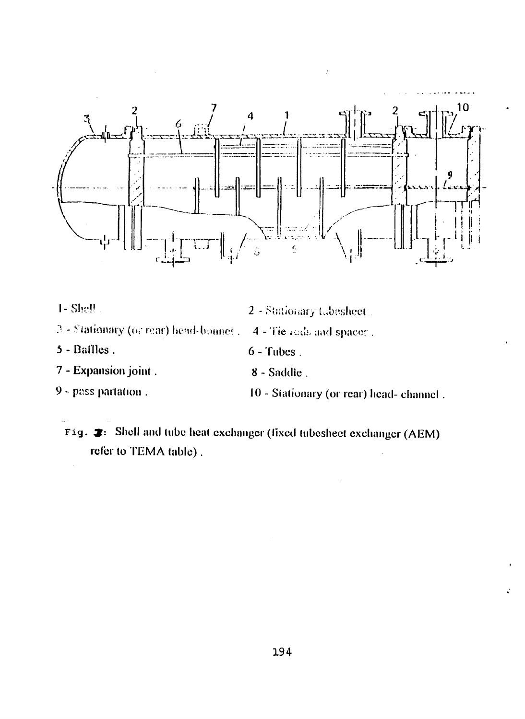

- 1-Shell 2 - Stationary tabesheet. 3 - Stationary (or rear) head-bonnet . 4 - Tie rods and spacer. 5 - Baflles.  $6 -$ Tubes. 7 - Expansion joint. 8 - Saddle. 9 - pass partation. 10 - Stationary (or rear) head-channel.
	- Fig.  $\bullet$ : Shell and tube heat exchanger (fixed tubesheet exchanger (AEM) refer to TEMA table).